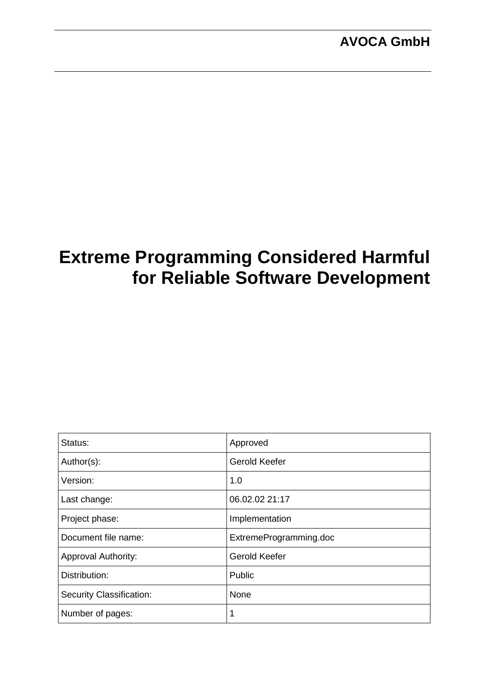| Status:                    | Approved               |
|----------------------------|------------------------|
| Author(s):                 | Gerold Keefer          |
| Version:                   | 1.0                    |
| Last change:               | 06.02.02 21:17         |
| Project phase:             | Implementation         |
| Document file name:        | ExtremeProgramming.doc |
| <b>Approval Authority:</b> | Gerold Keefer          |
| Distribution:              | Public                 |
| Security Classification:   | None                   |
| Number of pages:           |                        |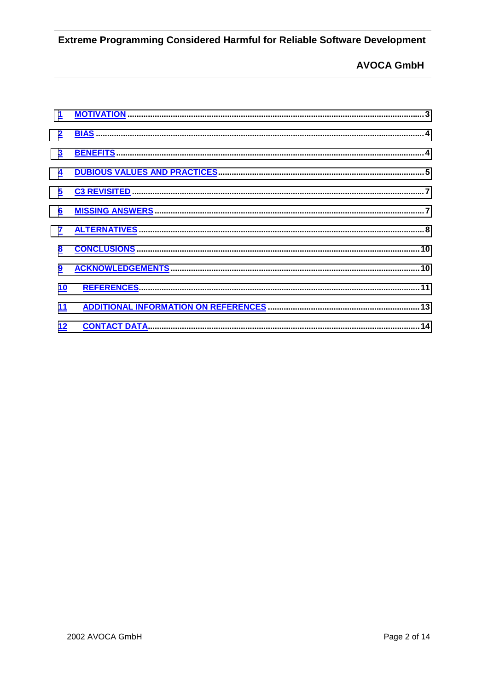## **AVOCA GmbH**

| $\mathbf{2}$            |  |
|-------------------------|--|
| $\overline{\mathbf{3}}$ |  |
| $\overline{4}$          |  |
| $\overline{\mathbf{5}}$ |  |
| 6                       |  |
| $\mathbf{7}$            |  |
| 8                       |  |
| 9                       |  |
| 10                      |  |
| 11                      |  |
| 12                      |  |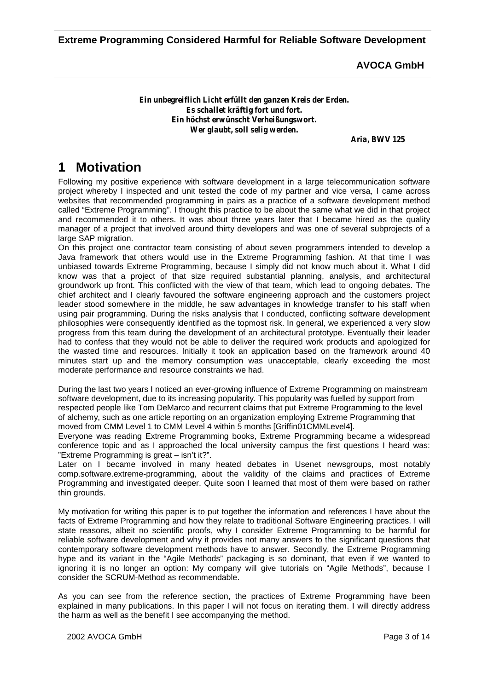**AVOCA GmbH** 

<span id="page-2-0"></span>*Ein unbegreiflich Licht erfüllt den ganzen Kreis der Erden. Es schallet kräftig fort und fort. Ein höchst erwünscht Verheißungswort. Wer glaubt, soll selig werden.*

 *Aria, BWV 125*

## **1 Motivation**

Following my positive experience with software development in a large telecommunication software project whereby I inspected and unit tested the code of my partner and vice versa, I came across websites that recommended programming in pairs as a practice of a software development method called "Extreme Programming". I thought this practice to be about the same what we did in that project and recommended it to others. It was about three years later that I became hired as the quality manager of a project that involved around thirty developers and was one of several subprojects of a large SAP migration.

On this project one contractor team consisting of about seven programmers intended to develop a Java framework that others would use in the Extreme Programming fashion. At that time I was unbiased towards Extreme Programming, because I simply did not know much about it. What I did know was that a project of that size required substantial planning, analysis, and architectural groundwork up front. This conflicted with the view of that team, which lead to ongoing debates. The chief architect and I clearly favoured the software engineering approach and the customers project leader stood somewhere in the middle, he saw advantages in knowledge transfer to his staff when using pair programming. During the risks analysis that I conducted, conflicting software development philosophies were consequently identified as the topmost risk. In general, we experienced a very slow progress from this team during the development of an architectural prototype. Eventually their leader had to confess that they would not be able to deliver the required work products and apologized for the wasted time and resources. Initially it took an application based on the framework around 40 minutes start up and the memory consumption was unacceptable, clearly exceeding the most moderate performance and resource constraints we had.

During the last two years I noticed an ever-growing influence of Extreme Programming on mainstream software development, due to its increasing popularity. This popularity was fuelled by support from respected people like Tom DeMarco and recurrent claims that put Extreme Programming to the level of alchemy, such as one article reporting on an organization employing Extreme Programming that moved from CMM Level 1 to CMM Level 4 within 5 months [Griffin01CMMLevel4].

Everyone was reading Extreme Programming books, Extreme Programming became a widespread conference topic and as I approached the local university campus the first questions I heard was: "Extreme Programming is great – isn't it?".

Later on I became involved in many heated debates in Usenet newsgroups, most notably comp.software.extreme-programming, about the validity of the claims and practices of Extreme Programming and investigated deeper. Quite soon I learned that most of them were based on rather thin grounds.

My motivation for writing this paper is to put together the information and references I have about the facts of Extreme Programming and how they relate to traditional Software Engineering practices. I will state reasons, albeit no scientific proofs, why I consider Extreme Programming to be harmful for reliable software development and why it provides not many answers to the significant questions that contemporary software development methods have to answer. Secondly, the Extreme Programming hype and its variant in the "Agile Methods" packaging is so dominant, that even if we wanted to ignoring it is no longer an option: My company will give tutorials on "Agile Methods", because I consider the SCRUM-Method as recommendable.

As you can see from the reference section, the practices of Extreme Programming have been explained in many publications. In this paper I will not focus on iterating them. I will directly address the harm as well as the benefit I see accompanying the method.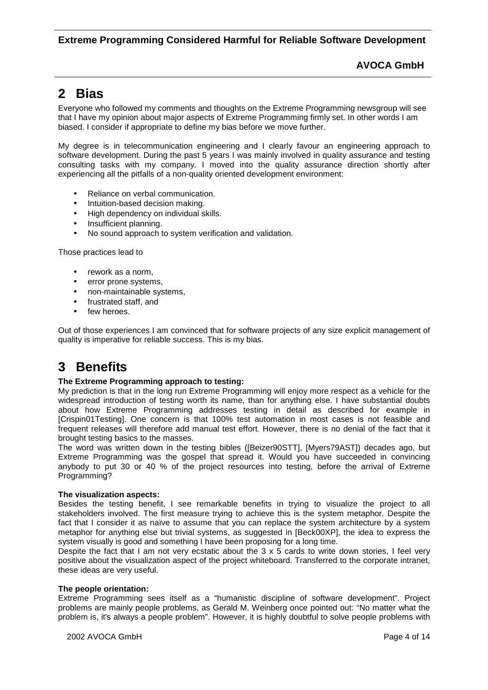## **AVOCA GmbH**

## <span id="page-3-0"></span>**2 Bias**

Everyone who followed my comments and thoughts on the Extreme Programming newsgroup will see that I have my opinion about major aspects of Extreme Programming firmly set. In other words I am biased. I consider if appropriate to define my bias before we move further.

My degree is in telecommunication engineering and I clearly favour an engineering approach to software development. During the past 5 years I was mainly involved in quality assurance and testing consulting tasks with my company. I moved into the quality assurance direction shortly after experiencing all the pitfalls of a non-quality oriented development environment:

- Reliance on verbal communication.
- Intuition-based decision making.
- High dependency on individual skills.
- Insufficient planning.
- No sound approach to system verification and validation.

Those practices lead to

- rework as a norm,
- error prone systems,
- non-maintainable systems,
- frustrated staff, and
- few heroes.

Out of those experiences I am convinced that for software projects of any size explicit management of quality is imperative for reliable success. This is my bias.

## **3 Benefits**

#### **The Extreme Programming approach to testing:**

My prediction is that in the long run Extreme Programming will enjoy more respect as a vehicle for the widespread introduction of testing worth its name, than for anything else. I have substantial doubts about how Extreme Programming addresses testing in detail as described for example in [Crispin01Testing]. One concern is that 100% test automation in most cases is not feasible and frequent releases will therefore add manual test effort. However, there is no denial of the fact that it brought testing basics to the masses.

The word was written down in the testing bibles ([Beizer90STT], [Myers79AST]) decades ago, but Extreme Programming was the gospel that spread it. Would you have succeeded in convincing anybody to put 30 or 40 % of the project resources into testing, before the arrival of Extreme Programming?

#### **The visualization aspects:**

Besides the testing benefit, I see remarkable benefits in trying to visualize the project to all stakeholders involved. The first measure trying to achieve this is the system metaphor. Despite the fact that I consider it as naïve to assume that you can replace the system architecture by a system metaphor for anything else but trivial systems, as suggested in [Beck00XP], the idea to express the system visually is good and something I have been proposing for a long time.

Despite the fact that I am not very ecstatic about the 3 x 5 cards to write down stories, I feel very positive about the visualization aspect of the project whiteboard. Transferred to the corporate intranet, these ideas are very useful.

#### **The people orientation:**

Extreme Programming sees itself as a "humanistic discipline of software development". Project problems are mainly people problems, as Gerald M. Weinberg once pointed out: "No matter what the problem is, it's always a people problem". However, it is highly doubtful to solve people problems with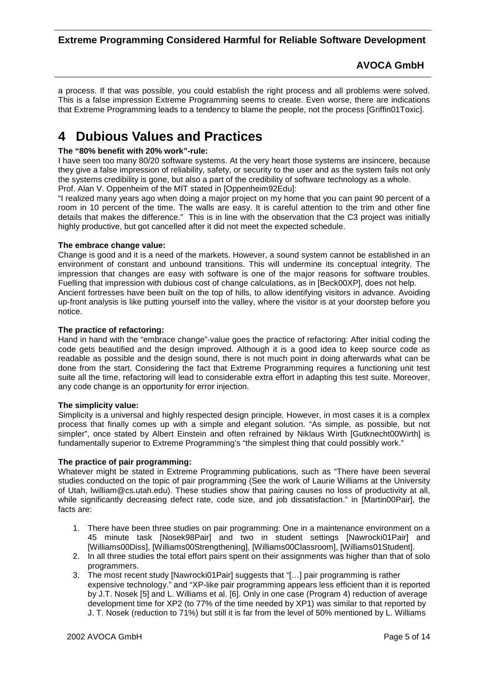<span id="page-4-0"></span>a process. If that was possible, you could establish the right process and all problems were solved. This is a false impression Extreme Programming seems to create. Even worse, there are indications that Extreme Programming leads to a tendency to blame the people, not the process [Griffin01Toxic].

## **4 Dubious Values and Practices**

#### **The "80% benefit with 20% work"-rule:**

I have seen too many 80/20 software systems. At the very heart those systems are insincere, because they give a false impression of reliability, safety, or security to the user and as the system fails not only the systems credibility is gone, but also a part of the credibility of software technology as a whole. Prof. Alan V. Oppenheim of the MIT stated in [Oppenheim92Edu]:

"I realized many years ago when doing a major project on my home that you can paint 90 percent of a room in 10 percent of the time. The walls are easy. It is careful attention to the trim and other fine details that makes the difference." This is in line with the observation that the C3 project was initially highly productive, but got cancelled after it did not meet the expected schedule.

#### **The embrace change value:**

Change is good and it is a need of the markets. However, a sound system cannot be established in an environment of constant and unbound transitions. This will undermine its conceptual integrity. The impression that changes are easy with software is one of the major reasons for software troubles. Fuelling that impression with dubious cost of change calculations, as in [Beck00XP], does not help. Ancient fortresses have been built on the top of hills, to allow identifying visitors in advance. Avoiding up-front analysis is like putting yourself into the valley, where the visitor is at your doorstep before you notice.

#### **The practice of refactoring:**

Hand in hand with the "embrace change"-value goes the practice of refactoring: After initial coding the code gets beautified and the design improved. Although it is a good idea to keep source code as readable as possible and the design sound, there is not much point in doing afterwards what can be done from the start. Considering the fact that Extreme Programming requires a functioning unit test suite all the time, refactoring will lead to considerable extra effort in adapting this test suite. Moreover, any code change is an opportunity for error injection.

#### **The simplicity value:**

Simplicity is a universal and highly respected design principle. However, in most cases it is a complex process that finally comes up with a simple and elegant solution. "As simple, as possible, but not simpler", once stated by Albert Einstein and often refrained by Niklaus Wirth [Gutknecht00Wirth] is fundamentally superior to Extreme Programming's "the simplest thing that could possibly work."

#### **The practice of pair programming:**

Whatever might be stated in Extreme Programming publications, such as "There have been several studies conducted on the topic of pair programming (See the work of Laurie Williams at the University of Utah, lwilliam@cs.utah.edu). These studies show that pairing causes no loss of productivity at all, while significantly decreasing defect rate, code size, and job dissatisfaction." in [Martin00Pair], the facts are:

- 1. There have been three studies on pair programming: One in a maintenance environment on a 45 minute task [Nosek98Pair] and two in student settings [Nawrocki01Pair] and [Williams00Diss], [Williams00Strengthening], [Williams00Classroom], [Williams01Student].
- 2. In all three studies the total effort pairs spent on their assignments was higher than that of solo programmers.
- 3. The most recent study [Nawrocki01Pair] suggests that "[…] pair programming is rather expensive technology." and "XP-like pair programming appears less efficient than it is reported by J.T. Nosek [5] and L. Williams et al. [6]. Only in one case (Program 4) reduction of average development time for XP2 (to 77% of the time needed by XP1) was similar to that reported by J. T. Nosek (reduction to 71%) but still it is far from the level of 50% mentioned by L. Williams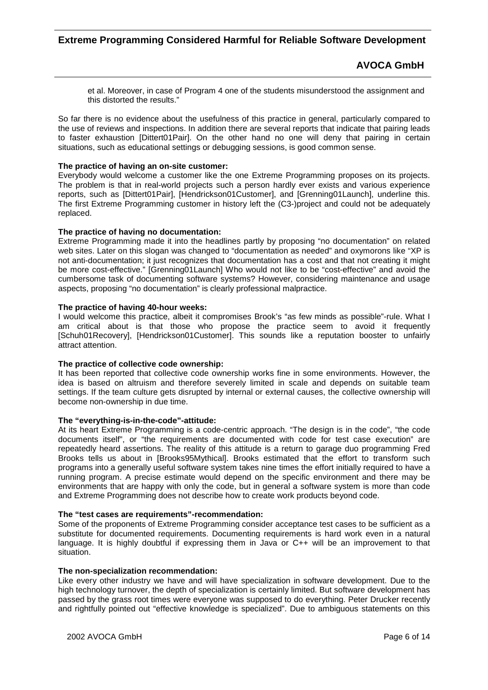## **AVOCA GmbH**

et al. Moreover, in case of Program 4 one of the students misunderstood the assignment and this distorted the results."

So far there is no evidence about the usefulness of this practice in general, particularly compared to the use of reviews and inspections. In addition there are several reports that indicate that pairing leads to faster exhaustion [Dittert01Pair]. On the other hand no one will deny that pairing in certain situations, such as educational settings or debugging sessions, is good common sense.

#### **The practice of having an on-site customer:**

Everybody would welcome a customer like the one Extreme Programming proposes on its projects. The problem is that in real-world projects such a person hardly ever exists and various experience reports, such as [Dittert01Pair], [Hendrickson01Customer], and [Grenning01Launch], underline this. The first Extreme Programming customer in history left the (C3-)project and could not be adequately replaced.

#### **The practice of having no documentation:**

Extreme Programming made it into the headlines partly by proposing "no documentation" on related web sites. Later on this slogan was changed to "documentation as needed" and oxymorons like "XP is not anti-documentation; it just recognizes that documentation has a cost and that not creating it might be more cost-effective." [Grenning01Launch] Who would not like to be "cost-effective" and avoid the cumbersome task of documenting software systems? However, considering maintenance and usage aspects, proposing "no documentation" is clearly professional malpractice.

#### **The practice of having 40-hour weeks:**

I would welcome this practice, albeit it compromises Brook's "as few minds as possible"-rule. What I am critical about is that those who propose the practice seem to avoid it frequently [Schuh01Recovery], [Hendrickson01Customer]. This sounds like a reputation booster to unfairly attract attention.

#### **The practice of collective code ownership:**

It has been reported that collective code ownership works fine in some environments. However, the idea is based on altruism and therefore severely limited in scale and depends on suitable team settings. If the team culture gets disrupted by internal or external causes, the collective ownership will become non-ownership in due time.

#### **The "everything-is-in-the-code"-attitude:**

At its heart Extreme Programming is a code-centric approach. "The design is in the code", "the code documents itself", or "the requirements are documented with code for test case execution" are repeatedly heard assertions. The reality of this attitude is a return to garage duo programming Fred Brooks tells us about in [Brooks95Mythical]. Brooks estimated that the effort to transform such programs into a generally useful software system takes nine times the effort initially required to have a running program. A precise estimate would depend on the specific environment and there may be environments that are happy with only the code, but in general a software system is more than code and Extreme Programming does not describe how to create work products beyond code.

#### **The "test cases are requirements"-recommendation:**

Some of the proponents of Extreme Programming consider acceptance test cases to be sufficient as a substitute for documented requirements. Documenting requirements is hard work even in a natural language. It is highly doubtful if expressing them in Java or C++ will be an improvement to that situation.

#### **The non-specialization recommendation:**

Like every other industry we have and will have specialization in software development. Due to the high technology turnover, the depth of specialization is certainly limited. But software development has passed by the grass root times were everyone was supposed to do everything. Peter Drucker recently and rightfully pointed out "effective knowledge is specialized". Due to ambiguous statements on this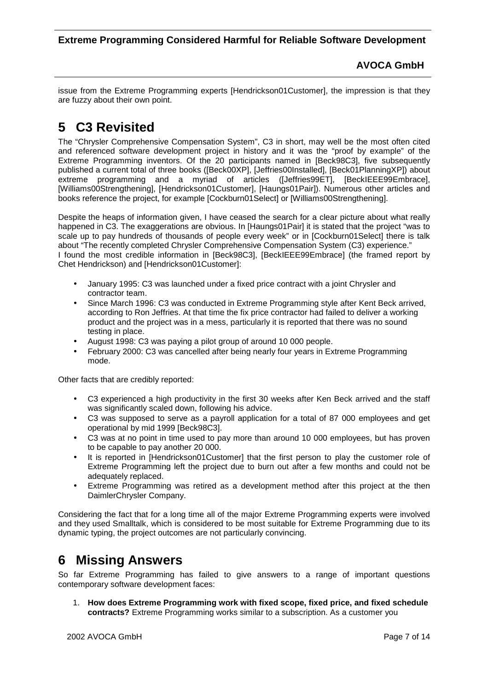## **AVOCA GmbH**

<span id="page-6-0"></span>issue from the Extreme Programming experts [Hendrickson01Customer], the impression is that they are fuzzy about their own point.

## **5 C3 Revisited**

The "Chrysler Comprehensive Compensation System", C3 in short, may well be the most often cited and referenced software development project in history and it was the "proof by example" of the Extreme Programming inventors. Of the 20 participants named in [Beck98C3], five subsequently published a current total of three books ([Beck00XP], [Jeffries00Installed], [Beck01PlanningXP]) about extreme programming and a myriad of articles ([Jeffries99ET], [BeckIEEE99Embrace], [Williams00Strengthening], [Hendrickson01Customer], [Haungs01Pair]). Numerous other articles and books reference the project, for example [Cockburn01Select] or [Williams00Strengthening].

Despite the heaps of information given, I have ceased the search for a clear picture about what really happened in C3. The exaggerations are obvious. In [Haungs01Pair] it is stated that the project "was to scale up to pay hundreds of thousands of people every week" or in [Cockburn01Select] there is talk about "The recently completed Chrysler Comprehensive Compensation System (C3) experience." I found the most credible information in [Beck98C3], [BeckIEEE99Embrace] (the framed report by Chet Hendrickson) and [Hendrickson01Customer]:

- January 1995: C3 was launched under a fixed price contract with a joint Chrysler and contractor team.
- Since March 1996: C3 was conducted in Extreme Programming style after Kent Beck arrived, according to Ron Jeffries. At that time the fix price contractor had failed to deliver a working product and the project was in a mess, particularly it is reported that there was no sound testing in place.
- August 1998: C3 was paying a pilot group of around 10 000 people.
- February 2000: C3 was cancelled after being nearly four years in Extreme Programming mode.

Other facts that are credibly reported:

- C3 experienced a high productivity in the first 30 weeks after Ken Beck arrived and the staff was significantly scaled down, following his advice.
- C3 was supposed to serve as a payroll application for a total of 87 000 employees and get operational by mid 1999 [Beck98C3].
- C3 was at no point in time used to pay more than around 10 000 employees, but has proven to be capable to pay another 20 000.
- It is reported in [Hendrickson01Customer] that the first person to play the customer role of Extreme Programming left the project due to burn out after a few months and could not be adequately replaced.
- Extreme Programming was retired as a development method after this project at the then DaimlerChrysler Company.

Considering the fact that for a long time all of the major Extreme Programming experts were involved and they used Smalltalk, which is considered to be most suitable for Extreme Programming due to its dynamic typing, the project outcomes are not particularly convincing.

## **6 Missing Answers**

So far Extreme Programming has failed to give answers to a range of important questions contemporary software development faces:

1. **How does Extreme Programming work with fixed scope, fixed price, and fixed schedule contracts?** Extreme Programming works similar to a subscription. As a customer you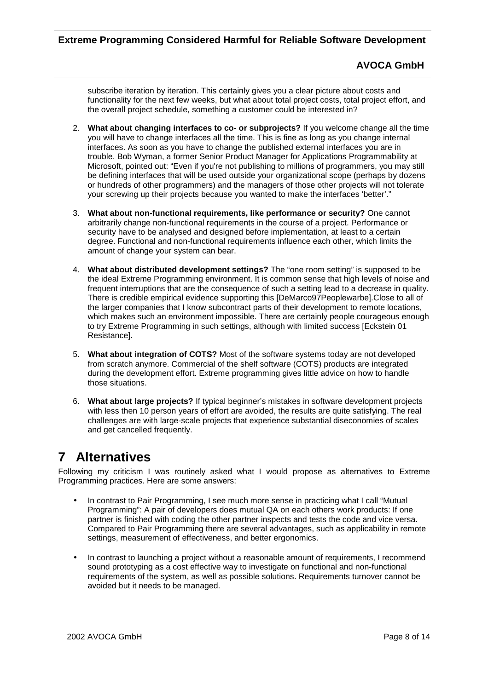### **AVOCA GmbH**

<span id="page-7-0"></span>subscribe iteration by iteration. This certainly gives you a clear picture about costs and functionality for the next few weeks, but what about total project costs, total project effort, and the overall project schedule, something a customer could be interested in?

- 2. **What about changing interfaces to co- or subprojects?** If you welcome change all the time you will have to change interfaces all the time. This is fine as long as you change internal interfaces. As soon as you have to change the published external interfaces you are in trouble. Bob Wyman, a former Senior Product Manager for Applications Programmability at Microsoft, pointed out: "Even if you're not publishing to millions of programmers, you may still be defining interfaces that will be used outside your organizational scope (perhaps by dozens or hundreds of other programmers) and the managers of those other projects will not tolerate your screwing up their projects because you wanted to make the interfaces 'better'."
- 3. **What about non-functional requirements, like performance or security?** One cannot arbitrarily change non-functional requirements in the course of a project. Performance or security have to be analysed and designed before implementation, at least to a certain degree. Functional and non-functional requirements influence each other, which limits the amount of change your system can bear.
- 4. **What about distributed development settings?** The "one room setting" is supposed to be the ideal Extreme Programming environment. It is common sense that high levels of noise and frequent interruptions that are the consequence of such a setting lead to a decrease in quality. There is credible empirical evidence supporting this [DeMarco97Peoplewarbe].Close to all of the larger companies that I know subcontract parts of their development to remote locations, which makes such an environment impossible. There are certainly people courageous enough to try Extreme Programming in such settings, although with limited success [Eckstein 01 Resistance].
- 5. **What about integration of COTS?** Most of the software systems today are not developed from scratch anymore. Commercial of the shelf software (COTS) products are integrated during the development effort. Extreme programming gives little advice on how to handle those situations.
- 6. **What about large projects?** If typical beginner's mistakes in software development projects with less then 10 person years of effort are avoided, the results are quite satisfying. The real challenges are with large-scale projects that experience substantial diseconomies of scales and get cancelled frequently.

## **7 Alternatives**

Following my criticism I was routinely asked what I would propose as alternatives to Extreme Programming practices. Here are some answers:

- In contrast to Pair Programming, I see much more sense in practicing what I call "Mutual Programming": A pair of developers does mutual QA on each others work products: If one partner is finished with coding the other partner inspects and tests the code and vice versa. Compared to Pair Programming there are several advantages, such as applicability in remote settings, measurement of effectiveness, and better ergonomics.
- In contrast to launching a project without a reasonable amount of requirements, I recommend sound prototyping as a cost effective way to investigate on functional and non-functional requirements of the system, as well as possible solutions. Requirements turnover cannot be avoided but it needs to be managed.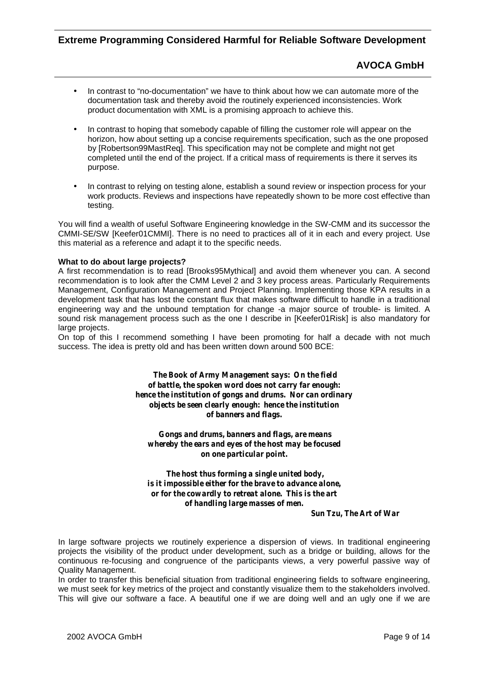- In contrast to "no-documentation" we have to think about how we can automate more of the documentation task and thereby avoid the routinely experienced inconsistencies. Work product documentation with XML is a promising approach to achieve this.
- In contrast to hoping that somebody capable of filling the customer role will appear on the horizon, how about setting up a concise requirements specification, such as the one proposed by [Robertson99MastReq]. This specification may not be complete and might not get completed until the end of the project. If a critical mass of requirements is there it serves its purpose.
- In contrast to relying on testing alone, establish a sound review or inspection process for your work products. Reviews and inspections have repeatedly shown to be more cost effective than testing.

You will find a wealth of useful Software Engineering knowledge in the SW-CMM and its successor the CMMI-SE/SW [Keefer01CMMI]. There is no need to practices all of it in each and every project. Use this material as a reference and adapt it to the specific needs.

#### **What to do about large projects?**

A first recommendation is to read [Brooks95Mythical] and avoid them whenever you can. A second recommendation is to look after the CMM Level 2 and 3 key process areas. Particularly Requirements Management, Configuration Management and Project Planning. Implementing those KPA results in a development task that has lost the constant flux that makes software difficult to handle in a traditional engineering way and the unbound temptation for change -a major source of trouble- is limited. A sound risk management process such as the one I describe in [Keefer01Risk] is also mandatory for large projects.

On top of this I recommend something I have been promoting for half a decade with not much success. The idea is pretty old and has been written down around 500 BCE:

> *The Book of Army Management says: On the field of battle, the spoken word does not carry far enough: hence the institution of gongs and drums. Nor can ordinary objects be seen clearly enough: hence the institution of banners and flags.*

 *Gongs and drums, banners and flags, are means whereby the ears and eyes of the host may be focused on one particular point.*

 *The host thus forming a single united body, is it impossible either for the brave to advance alone, or for the cowardly to retreat alone. This is the art of handling large masses of men.*

 *Sun Tzu, The Art of War*

In large software projects we routinely experience a dispersion of views. In traditional engineering projects the visibility of the product under development, such as a bridge or building, allows for the continuous re-focusing and congruence of the participants views, a very powerful passive way of Quality Management.

In order to transfer this beneficial situation from traditional engineering fields to software engineering, we must seek for key metrics of the project and constantly visualize them to the stakeholders involved. This will give our software a face. A beautiful one if we are doing well and an ugly one if we are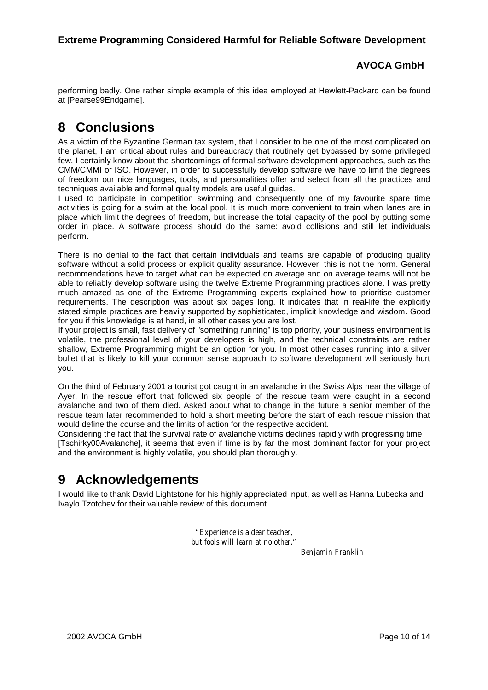## **AVOCA GmbH**

<span id="page-9-0"></span>performing badly. One rather simple example of this idea employed at Hewlett-Packard can be found at [Pearse99Endgame].

## **8 Conclusions**

As a victim of the Byzantine German tax system, that I consider to be one of the most complicated on the planet, I am critical about rules and bureaucracy that routinely get bypassed by some privileged few. I certainly know about the shortcomings of formal software development approaches, such as the CMM/CMMI or ISO. However, in order to successfully develop software we have to limit the degrees of freedom our nice languages, tools, and personalities offer and select from all the practices and techniques available and formal quality models are useful guides.

I used to participate in competition swimming and consequently one of my favourite spare time activities is going for a swim at the local pool. It is much more convenient to train when lanes are in place which limit the degrees of freedom, but increase the total capacity of the pool by putting some order in place. A software process should do the same: avoid collisions and still let individuals perform.

There is no denial to the fact that certain individuals and teams are capable of producing quality software without a solid process or explicit quality assurance. However, this is not the norm. General recommendations have to target what can be expected on average and on average teams will not be able to reliably develop software using the twelve Extreme Programming practices alone. I was pretty much amazed as one of the Extreme Programming experts explained how to prioritise customer requirements. The description was about six pages long. It indicates that in real-life the explicitly stated simple practices are heavily supported by sophisticated, implicit knowledge and wisdom. Good for you if this knowledge is at hand, in all other cases you are lost.

If your project is small, fast delivery of "something running" is top priority, your business environment is volatile, the professional level of your developers is high, and the technical constraints are rather shallow, Extreme Programming might be an option for you. In most other cases running into a silver bullet that is likely to kill your common sense approach to software development will seriously hurt you.

On the third of February 2001 a tourist got caught in an avalanche in the Swiss Alps near the village of Ayer. In the rescue effort that followed six people of the rescue team were caught in a second avalanche and two of them died. Asked about what to change in the future a senior member of the rescue team later recommended to hold a short meeting before the start of each rescue mission that would define the course and the limits of action for the respective accident.

Considering the fact that the survival rate of avalanche victims declines rapidly with progressing time [Tschirky00Avalanche], it seems that even if time is by far the most dominant factor for your project and the environment is highly volatile, you should plan thoroughly.

## **9 Acknowledgements**

I would like to thank David Lightstone for his highly appreciated input, as well as Hanna Lubecka and Ivaylo Tzotchev for their valuable review of this document.

> *"Experience is a dear teacher, but fools will learn at no other."*

 *Benjamin Franklin*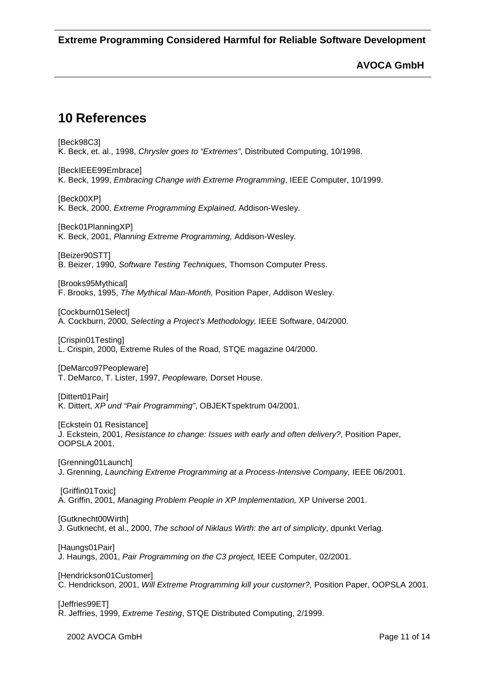## **AVOCA GmbH**

## <span id="page-10-0"></span>**10 References**

[Beck98C3] K. Beck, et. al., 1998, *Chrysler goes to "Extremes"*, Distributed Computing, 10/1998. [BeckIEEE99Embrace] K. Beck, 1999, *Embracing Change with Extreme Programming*, IEEE Computer, 10/1999. [Beck00XP] K. Beck, 2000, *Extreme Programming Explained*, Addison-Wesley. [Beck01PlanningXP] K. Beck, 2001, *Planning Extreme Programming,* Addison-Wesley. [Beizer90STT] B. Beizer, 1990, *Software Testing Techniques,* Thomson Computer Press. [Brooks95Mythical] F. Brooks, 1995, *The Mythical Man-Month,* Position Paper, Addison Wesley. [Cockburn01Select] A. Cockburn, 2000, *Selecting a Project's Methodology,* IEEE Software, 04/2000. [Crispin01Testing] L. Crispin, 2000, Extreme Rules of the Road*,* STQE magazine 04/2000. [DeMarco97Peopleware] T. DeMarco, T. Lister, 1997, *Peopleware,* Dorset House. [Dittert01Pair] K. Dittert, *XP und "Pair Programming"*, OBJEKTspektrum 04/2001. [Eckstein 01 Resistance] J. Eckstein, 2001, *Resistance to change: Issues with early and often delivery?,* Position Paper, OOPSLA 2001. [Grenning01Launch] J. Grenning, *Launching Extreme Programming at a Process-Intensive Company,* IEEE 06/2001. [Griffin01Toxic] A. Griffin, 2001, *Managing Problem People in XP Implementation,* XP Universe 2001. [Gutknecht00Wirth] J. Gutknecht, et al., 2000, *The school of Niklaus Wirth: the art of simplicity*, dpunkt Verlag. [Haungs01Pair] J. Haungs, 2001, *Pair Programming on the C3 project,* IEEE Computer, 02/2001. [Hendrickson01Customer] C. Hendrickson, 2001, *Will Extreme Programming kill your customer?,* Position Paper, OOPSLA 2001. [Jeffries99ET] R. Jeffries, 1999, *Extreme Testing*, STQE Distributed Computing, 2/1999.

C 2002 AVOCA GmbH **Page 11 of 14**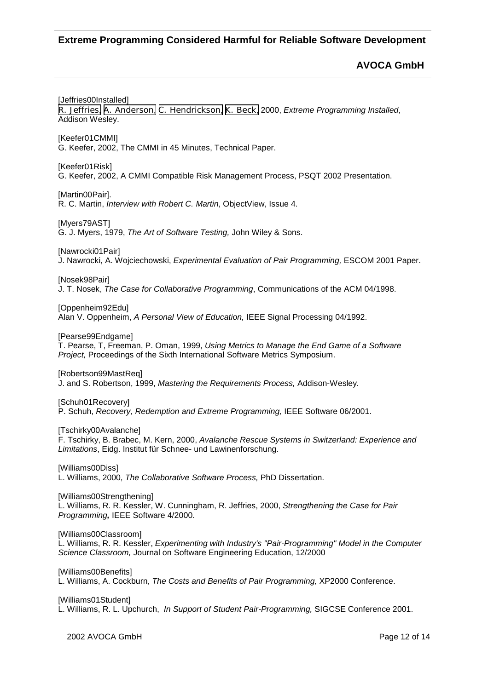## **AVOCA GmbH**

C 2002 AVOCA GmbH **Page 12 of 14** [Jeffries00Installed] [R. Jeffries](http://www.amazon.com/exec/obidos/search-handle-url/index=books&field-author=Jeffries%2C Ron/102-6953369-0240910), [A. Anderson](http://www.amazon.com/exec/obidos/search-handle-url/index=books&field-author=Anderson%2C Ann/102-6953369-0240910), [C. Hendrickson](http://www.amazon.com/exec/obidos/search-handle-url/index=books&field-author=Hendrickson%2C Chet/102-6953369-0240910), [K. Beck](http://www.amazon.com/exec/obidos/search-handle-url/index=books&field-author=Beck%2C Kent/102-6953369-0240910), 2000, *Extreme Programming Installed*, Addison Wesley. [Keefer01CMMI] G. Keefer, 2002, The CMMI in 45 Minutes, Technical Paper. [Keefer01Risk] G. Keefer, 2002, A CMMI Compatible Risk Management Process, PSQT 2002 Presentation. [Martin00Pair]. R. C. Martin, *Interview with Robert C. Martin*, ObjectView, Issue 4. [Myers79AST] G. J. Myers, 1979, *The Art of Software Testing,* John Wiley & Sons. [Nawrocki01Pair] J. Nawrocki, A. Wojciechowski, *Experimental Evaluation of Pair Programming,* ESCOM 2001 Paper. [Nosek98Pair] J. T. Nosek, *The Case for Collaborative Programming*, Communications of the ACM 04/1998. [Oppenheim92Edu] Alan V. Oppenheim, *A Personal View of Education,* IEEE Signal Processing 04/1992. [Pearse99Endgame] T. Pearse, T, Freeman, P. Oman, 1999, *Using Metrics to Manage the End Game of a Software Project,* Proceedings of the Sixth International Software Metrics Symposium. [Robertson99MastReq] J. and S. Robertson, 1999, *Mastering the Requirements Process,* Addison-Wesley. [Schuh01Recovery] P. Schuh, *Recovery, Redemption and Extreme Programming,* IEEE Software 06/2001. [Tschirky00Avalanche] F. Tschirky, B. Brabec, M. Kern, 2000, *Avalanche Rescue Systems in Switzerland: Experience and Limitations*, Eidg. Institut für Schnee- und Lawinenforschung. [Williams00Diss] L. Williams, 2000, *The Collaborative Software Process,* PhD Dissertation. [Williams00Strengthening] L. Williams, R. R. Kessler, W. Cunningham, R. Jeffries, 2000, *Strengthening the Case for Pair Programming,* IEEE Software 4/2000. [Williams00Classroom] L. Williams, R. R. Kessler, *Experimenting with Industry's "Pair-Programming" Model in the Computer Science Classroom,* Journal on Software Engineering Education, 12/2000 [Williams00Benefits] L. Williams, A. Cockburn, *The Costs and Benefits of Pair Programming,* XP2000 Conference. [Williams01Student] L. Williams, R. L. Upchurch, *In Support of Student Pair-Programming,* SIGCSE Conference 2001.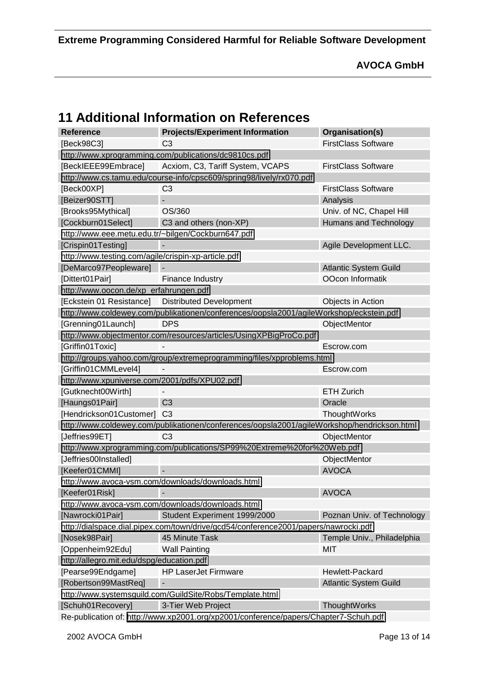## <span id="page-12-0"></span>**11 Additional Information on References**

| <b>Reference</b>                                                                        | <b>Projects/Experiment Information</b>                                                      | Organisation(s)              |  |  |  |
|-----------------------------------------------------------------------------------------|---------------------------------------------------------------------------------------------|------------------------------|--|--|--|
| [Beck98C3]                                                                              | C <sub>3</sub>                                                                              | <b>FirstClass Software</b>   |  |  |  |
| http://www.xprogramming.com/publications/dc9810cs.pdf                                   |                                                                                             |                              |  |  |  |
| [BeckIEEE99Embrace]                                                                     | Acxiom, C3, Tariff System, VCAPS                                                            | <b>FirstClass Software</b>   |  |  |  |
|                                                                                         | http://www.cs.tamu.edu/course-info/cpsc609/spring98/lively/rx070.pdf                        |                              |  |  |  |
| [Beck00XP]                                                                              | C <sub>3</sub>                                                                              | <b>FirstClass Software</b>   |  |  |  |
| [Beizer90STT]                                                                           |                                                                                             | Analysis                     |  |  |  |
| [Brooks95Mythical]                                                                      | OS/360                                                                                      | Univ. of NC, Chapel Hill     |  |  |  |
| [Cockburn01Select]                                                                      | C3 and others (non-XP)                                                                      | Humans and Technology        |  |  |  |
| http://www.eee.metu.edu.tr/~bilgen/Cockburn647.pdf                                      |                                                                                             |                              |  |  |  |
| [Crispin01Testing]                                                                      |                                                                                             | Agile Development LLC.       |  |  |  |
| http://www.testing.com/agile/crispin-xp-article.pdf                                     |                                                                                             |                              |  |  |  |
| [DeMarco97Peopleware]                                                                   |                                                                                             | <b>Atlantic System Guild</b> |  |  |  |
| [Dittert01Pair]                                                                         | Finance Industry                                                                            | OOcon Informatik             |  |  |  |
| http://www.oocon.de/xp_erfahrungen.pdf                                                  |                                                                                             |                              |  |  |  |
|                                                                                         |                                                                                             | Objects in Action            |  |  |  |
| http://www.coldewey.com/publikationen/conferences/oopsla2001/agileWorkshop/eckstein.pdf |                                                                                             |                              |  |  |  |
| [Grenning01Launch]                                                                      | <b>DPS</b>                                                                                  | ObjectMentor                 |  |  |  |
|                                                                                         | http://www.objectmentor.com/resources/articles/UsingXPBigProCo.pdf                          |                              |  |  |  |
| [Griffin01Toxic]                                                                        |                                                                                             | Escrow.com                   |  |  |  |
|                                                                                         | http://groups.yahoo.com/group/extremeprogramming/files/xpproblems.html                      |                              |  |  |  |
| [Griffin01CMMLevel4]                                                                    |                                                                                             | Escrow.com                   |  |  |  |
| http://www.xpuniverse.com/2001/pdfs/XPU02.pdf                                           |                                                                                             |                              |  |  |  |
| [Gutknecht00Wirth]                                                                      |                                                                                             | <b>ETH Zurich</b>            |  |  |  |
| [Haungs01Pair]                                                                          | C <sub>3</sub>                                                                              | Oracle                       |  |  |  |
| [Hendrickson01Customer] C3                                                              |                                                                                             | ThoughtWorks                 |  |  |  |
|                                                                                         | http://www.coldewey.com/publikationen/conferences/oopsla2001/agileWorkshop/hendrickson.html |                              |  |  |  |
| [Jeffries99ET]                                                                          | C <sub>3</sub>                                                                              | ObjectMentor                 |  |  |  |
|                                                                                         | http://www.xprogramming.com/publications/SP99%20Extreme%20for%20Web.pdf                     |                              |  |  |  |
| [Jeffries00Installed]                                                                   |                                                                                             | ObjectMentor                 |  |  |  |
| [Keefer01CMMI]                                                                          |                                                                                             | <b>AVOCA</b>                 |  |  |  |
| http://www.avoca-vsm.com/downloads/downloads.html                                       |                                                                                             |                              |  |  |  |
| [Keefer01Risk]                                                                          |                                                                                             | <b>AVOCA</b>                 |  |  |  |
|                                                                                         | http://www.avoca-vsm.com/downloads/downloads.html                                           |                              |  |  |  |
| [Nawrocki01Pair]                                                                        | Student Experiment 1999/2000                                                                | Poznan Univ. of Technology   |  |  |  |
| http://dialspace.dial.pipex.com/town/drive/gcd54/conference2001/papers/nawrocki.pdf     |                                                                                             |                              |  |  |  |
| [Nosek98Pair]                                                                           | 45 Minute Task                                                                              | Temple Univ., Philadelphia   |  |  |  |
| [Oppenheim92Edu]                                                                        | <b>Wall Painting</b>                                                                        | <b>MIT</b>                   |  |  |  |
| http://allegro.mit.edu/dspg/education.pdf                                               |                                                                                             |                              |  |  |  |
| [Pearse99Endgame]                                                                       | <b>HP LaserJet Firmware</b>                                                                 | Hewlett-Packard              |  |  |  |
| [Robertson99MastReq]                                                                    |                                                                                             | <b>Atlantic System Guild</b> |  |  |  |
| http://www.systemsguild.com/GuildSite/Robs/Template.html                                |                                                                                             |                              |  |  |  |
| [Schuh01Recovery]                                                                       | 3-Tier Web Project                                                                          | ThoughtWorks                 |  |  |  |
| Re-publication of: http://www.xp2001.org/xp2001/conference/papers/Chapter7-Schuh.pdf    |                                                                                             |                              |  |  |  |